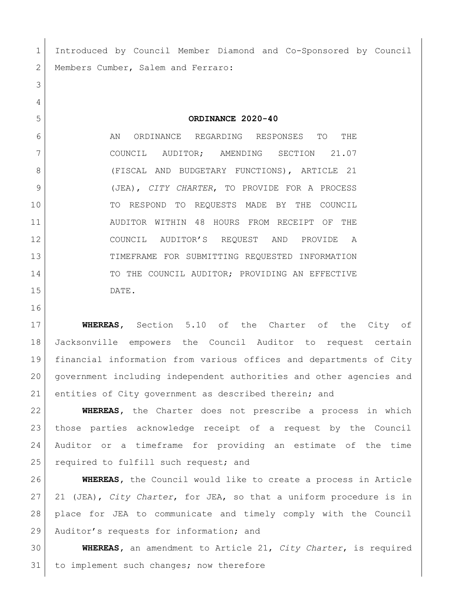Introduced by Council Member Diamond and Co-Sponsored by Council 2 | Members Cumber, Salem and Ferraro:

**ORDINANCE 2020-40**

 AN ORDINANCE REGARDING RESPONSES TO THE COUNCIL AUDITOR; AMENDING SECTION 21.07 8 (FISCAL AND BUDGETARY FUNCTIONS), ARTICLE 21 (JEA), *CITY CHARTER*, TO PROVIDE FOR A PROCESS TO RESPOND TO REQUESTS MADE BY THE COUNCIL AUDITOR WITHIN 48 HOURS FROM RECEIPT OF THE COUNCIL AUDITOR'S REQUEST AND PROVIDE A TIMEFRAME FOR SUBMITTING REQUESTED INFORMATION 14 TO THE COUNCIL AUDITOR; PROVIDING AN EFFECTIVE DATE.

 **WHEREAS,** Section 5.10 of the Charter of the City of Jacksonville empowers the Council Auditor to request certain financial information from various offices and departments of City government including independent authorities and other agencies and entities of City government as described therein; and

 **WHEREAS,** the Charter does not prescribe a process in which those parties acknowledge receipt of a request by the Council Auditor or a timeframe for providing an estimate of the time 25 | required to fulfill such request; and

 **WHEREAS,** the Council would like to create a process in Article 21 (JEA), *City Charter*, for JEA, so that a uniform procedure is in place for JEA to communicate and timely comply with the Council 29 Auditor's requests for information; and

 **WHEREAS,** an amendment to Article 21, *City Charter*, is required 31 to implement such changes; now therefore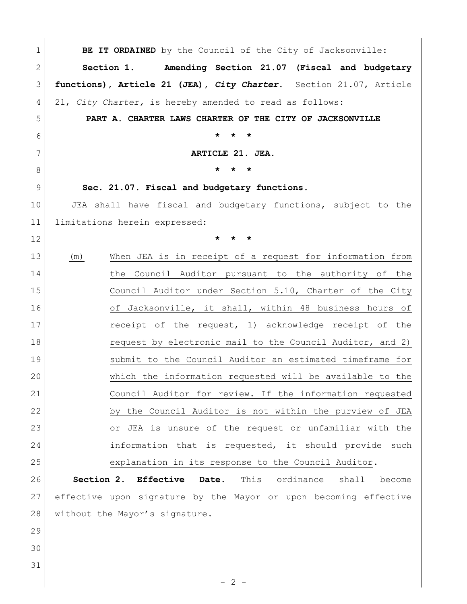| 1            | BE IT ORDAINED by the Council of the City of Jacksonville:            |
|--------------|-----------------------------------------------------------------------|
| $\mathbf{2}$ | Section 1. Amending Section 21.07 (Fiscal and budgetary               |
| 3            | functions), Article 21 (JEA), City Charter. Section 21.07, Article    |
| 4            | 21, City Charter, is hereby amended to read as follows:               |
| 5            | PART A. CHARTER LAWS CHARTER OF THE CITY OF JACKSONVILLE              |
| 6            | $\star$<br>$\star$<br>$\star$                                         |
| 7            | ARTICLE 21. JEA.                                                      |
| 8            | $\star$                                                               |
| $\mathsf 9$  | Sec. 21.07. Fiscal and budgetary functions.                           |
| 10           | JEA shall have fiscal and budgetary functions, subject to the         |
| 11           | limitations herein expressed:                                         |
| 12           | $^\star$                                                              |
| 13           | When JEA is in receipt of a request for information from<br>(m)       |
| 14           | the Council Auditor pursuant to the authority of the                  |
| 15           | Council Auditor under Section 5.10, Charter of the City               |
| 16           | of Jacksonville, it shall, within 48 business hours of                |
| 17           | receipt of the request, 1) acknowledge receipt of the                 |
| 18           | request by electronic mail to the Council Auditor, and 2)             |
| 19           | submit to the Council Auditor an estimated timeframe for              |
| 20           | which the information requested will be available to the              |
| 21           | Council Auditor for review. If the information requested              |
| 22           | by the Council Auditor is not within the purview of JEA               |
| 23           | or JEA is unsure of the request or unfamiliar with the                |
| 24           | information that is requested, it should provide such                 |
| 25           | explanation in its response to the Council Auditor.                   |
| 26           | Section 2. Effective<br>Date.<br>This<br>ordinance<br>shall<br>become |
| 27           | effective upon signature by the Mayor or upon becoming effective      |
| 28           | without the Mayor's signature.                                        |
| 29           |                                                                       |
| 30           |                                                                       |
| 31           |                                                                       |
|              | $-2-$                                                                 |